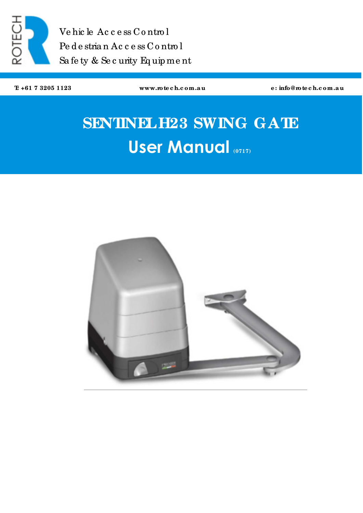

Ve hic le Ac c e ss Co ntro l Pe d e stria n Ac c e ss C o ntro l Sa fe ty & Se c urity Eq uip me nt

**T: +61 7 3205 1123 www.rote c h.c om.a u e : info@rote c h.c om.a u**

# **SENTINELH23 SWING GATE User Manual (0717)**